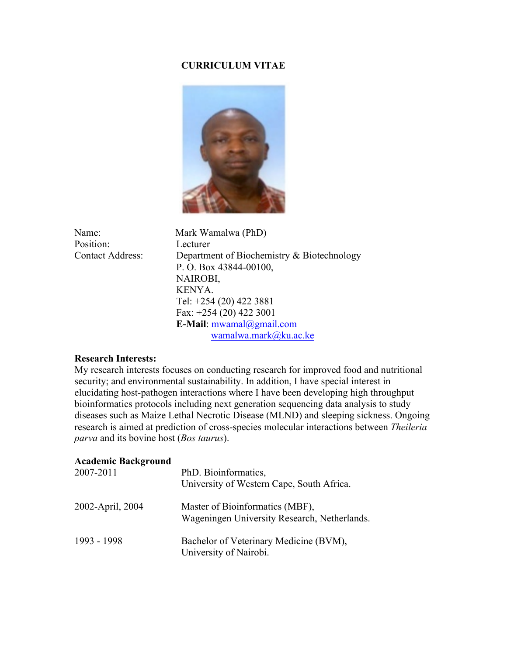# **CURRICULUM VITAE**



Name: Mark Wamalwa (PhD) Position: Lecturer Contact Address: Department of Biochemistry & Biotechnology P. O. Box 43844-00100, NAIROBI, KENYA. Tel: +254 (20) 422 3881 Fax: +254 (20) 422 3001  **E-Mail**: mwamal@gmail.com wamalwa.mark@ku.ac.ke

### **Research Interests:**

My research interests focuses on conducting research for improved food and nutritional security; and environmental sustainability. In addition, I have special interest in elucidating host-pathogen interactions where I have been developing high throughput bioinformatics protocols including next generation sequencing data analysis to study diseases such as Maize Lethal Necrotic Disease (MLND) and sleeping sickness. Ongoing research is aimed at prediction of cross-species molecular interactions between *Theileria parva* and its bovine host (*Bos taurus*).

### **Academic Background**

| 2007-2011        | PhD. Bioinformatics,<br>University of Western Cape, South Africa.               |  |  |  |
|------------------|---------------------------------------------------------------------------------|--|--|--|
| 2002-April, 2004 | Master of Bioinformatics (MBF),<br>Wageningen University Research, Netherlands. |  |  |  |
| 1993 - 1998      | Bachelor of Veterinary Medicine (BVM),<br>University of Nairobi.                |  |  |  |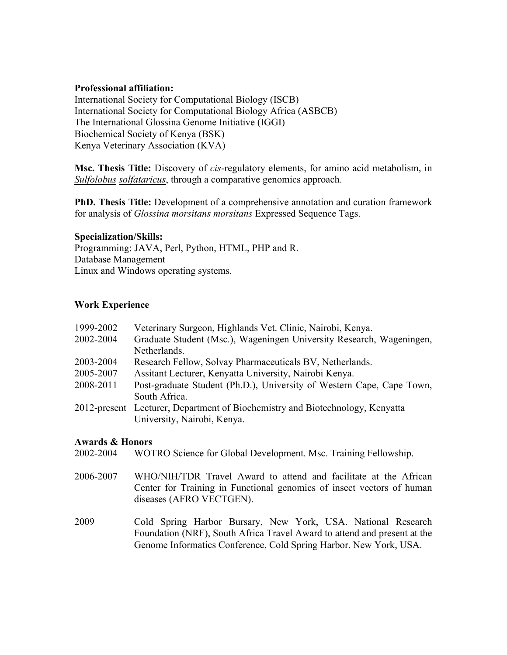## **Professional affiliation:**

International Society for Computational Biology (ISCB) International Society for Computational Biology Africa (ASBCB) The International Glossina Genome Initiative (IGGI) Biochemical Society of Kenya (BSK) Kenya Veterinary Association (KVA)

**Msc. Thesis Title:** Discovery of *cis*-regulatory elements, for amino acid metabolism, in *Sulfolobus solfataricus*, through a comparative genomics approach.

**PhD. Thesis Title:** Development of a comprehensive annotation and curation framework for analysis of *Glossina morsitans morsitans* Expressed Sequence Tags.

### **Specialization/Skills:**

Programming: JAVA, Perl, Python, HTML, PHP and R. Database Management Linux and Windows operating systems.

## **Work Experience**

| 1999-2002 | Veterinary Surgeon, Highlands Vet. Clinic, Nairobi, Kenya.                    |  |  |  |  |
|-----------|-------------------------------------------------------------------------------|--|--|--|--|
| 2002-2004 | Graduate Student (Msc.), Wageningen University Research, Wageningen,          |  |  |  |  |
|           | Netherlands.                                                                  |  |  |  |  |
| 2003-2004 | Research Fellow, Solvay Pharmaceuticals BV, Netherlands.                      |  |  |  |  |
| 2005-2007 | Assitant Lecturer, Kenyatta University, Nairobi Kenya.                        |  |  |  |  |
| 2008-2011 | Post-graduate Student (Ph.D.), University of Western Cape, Cape Town,         |  |  |  |  |
|           | South Africa.                                                                 |  |  |  |  |
|           | 2012-present Lecturer, Department of Biochemistry and Biotechnology, Kenyatta |  |  |  |  |
|           | University, Nairobi, Kenya.                                                   |  |  |  |  |

## **Awards & Honors**

2002-2004 WOTRO Science for Global Development. Msc. Training Fellowship.

- 2006-2007 WHO/NIH/TDR Travel Award to attend and facilitate at the African Center for Training in Functional genomics of insect vectors of human diseases (AFRO VECTGEN).
- 2009 Cold Spring Harbor Bursary, New York, USA. National Research Foundation (NRF), South Africa Travel Award to attend and present at the Genome Informatics Conference, Cold Spring Harbor. New York, USA.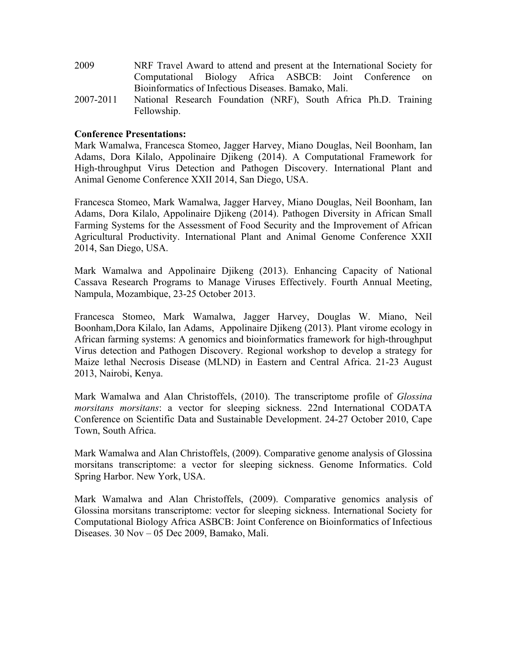| 2009 | NRF Travel Award to attend and present at the International Society for |  |  |  |
|------|-------------------------------------------------------------------------|--|--|--|
|      | Computational Biology Africa ASBCB: Joint Conference on                 |  |  |  |
|      | Bioinformatics of Infectious Diseases. Bamako, Mali.                    |  |  |  |

2007-2011 National Research Foundation (NRF), South Africa Ph.D. Training Fellowship.

## **Conference Presentations:**

Mark Wamalwa, Francesca Stomeo, Jagger Harvey, Miano Douglas, Neil Boonham, Ian Adams, Dora Kilalo, Appolinaire Djikeng (2014). A Computational Framework for High-throughput Virus Detection and Pathogen Discovery. International Plant and Animal Genome Conference XXII 2014, San Diego, USA.

Francesca Stomeo, Mark Wamalwa, Jagger Harvey, Miano Douglas, Neil Boonham, Ian Adams, Dora Kilalo, Appolinaire Djikeng (2014). Pathogen Diversity in African Small Farming Systems for the Assessment of Food Security and the Improvement of African Agricultural Productivity. International Plant and Animal Genome Conference XXII 2014, San Diego, USA.

Mark Wamalwa and Appolinaire Djikeng (2013). Enhancing Capacity of National Cassava Research Programs to Manage Viruses Effectively. Fourth Annual Meeting, Nampula, Mozambique, 23-25 October 2013.

Francesca Stomeo, Mark Wamalwa, Jagger Harvey, Douglas W. Miano, Neil Boonham,Dora Kilalo, Ian Adams, Appolinaire Djikeng (2013). Plant virome ecology in African farming systems: A genomics and bioinformatics framework for high-throughput Virus detection and Pathogen Discovery. Regional workshop to develop a strategy for Maize lethal Necrosis Disease (MLND) in Eastern and Central Africa. 21-23 August 2013, Nairobi, Kenya.

Mark Wamalwa and Alan Christoffels, (2010). The transcriptome profile of *Glossina morsitans morsitans*: a vector for sleeping sickness. 22nd International CODATA Conference on Scientific Data and Sustainable Development. 24-27 October 2010, Cape Town, South Africa.

Mark Wamalwa and Alan Christoffels, (2009). Comparative genome analysis of Glossina morsitans transcriptome: a vector for sleeping sickness. Genome Informatics. Cold Spring Harbor. New York, USA.

Mark Wamalwa and Alan Christoffels, (2009). Comparative genomics analysis of Glossina morsitans transcriptome: vector for sleeping sickness. International Society for Computational Biology Africa ASBCB: Joint Conference on Bioinformatics of Infectious Diseases. 30 Nov – 05 Dec 2009, Bamako, Mali.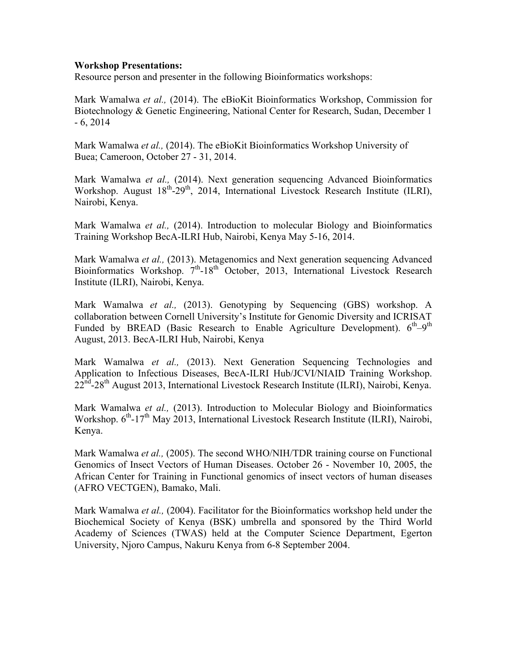## **Workshop Presentations:**

Resource person and presenter in the following Bioinformatics workshops:

Mark Wamalwa *et al.,* (2014). The eBioKit Bioinformatics Workshop, Commission for Biotechnology & Genetic Engineering, National Center for Research, Sudan, December 1 - 6, 2014

Mark Wamalwa *et al.,* (2014). The eBioKit Bioinformatics Workshop University of Buea; Cameroon, October 27 - 31, 2014.

Mark Wamalwa *et al.,* (2014). Next generation sequencing Advanced Bioinformatics Workshop. August  $18^{th}$ -29<sup>th</sup>, 2014, International Livestock Research Institute (ILRI), Nairobi, Kenya.

Mark Wamalwa *et al.,* (2014). Introduction to molecular Biology and Bioinformatics Training Workshop BecA-ILRI Hub, Nairobi, Kenya May 5-16, 2014.

Mark Wamalwa *et al.,* (2013). Metagenomics and Next generation sequencing Advanced Bioinformatics Workshop.  $7<sup>th</sup>$ -18<sup>th</sup> October, 2013, International Livestock Research Institute (ILRI), Nairobi, Kenya.

Mark Wamalwa *et al.,* (2013). Genotyping by Sequencing (GBS) workshop. A collaboration between Cornell University's Institute for Genomic Diversity and ICRISAT Funded by BREAD (Basic Research to Enable Agriculture Development).  $6<sup>th</sup>-9<sup>th</sup>$ August, 2013. BecA-ILRI Hub, Nairobi, Kenya

Mark Wamalwa *et al.,* (2013). Next Generation Sequencing Technologies and Application to Infectious Diseases, BecA-ILRI Hub/JCVI/NIAID Training Workshop.  $22<sup>nd</sup> - 28<sup>th</sup>$  August 2013, International Livestock Research Institute (ILRI), Nairobi, Kenya.

Mark Wamalwa *et al.,* (2013). Introduction to Molecular Biology and Bioinformatics Workshop.  $6<sup>th</sup>$ -17<sup>th</sup> May 2013, International Livestock Research Institute (ILRI), Nairobi, Kenya.

Mark Wamalwa *et al.,* (2005). The second WHO/NIH/TDR training course on Functional Genomics of Insect Vectors of Human Diseases. October 26 - November 10, 2005, the African Center for Training in Functional genomics of insect vectors of human diseases (AFRO VECTGEN), Bamako, Mali.

Mark Wamalwa *et al.,* (2004). Facilitator for the Bioinformatics workshop held under the Biochemical Society of Kenya (BSK) umbrella and sponsored by the Third World Academy of Sciences (TWAS) held at the Computer Science Department, Egerton University, Njoro Campus, Nakuru Kenya from 6-8 September 2004.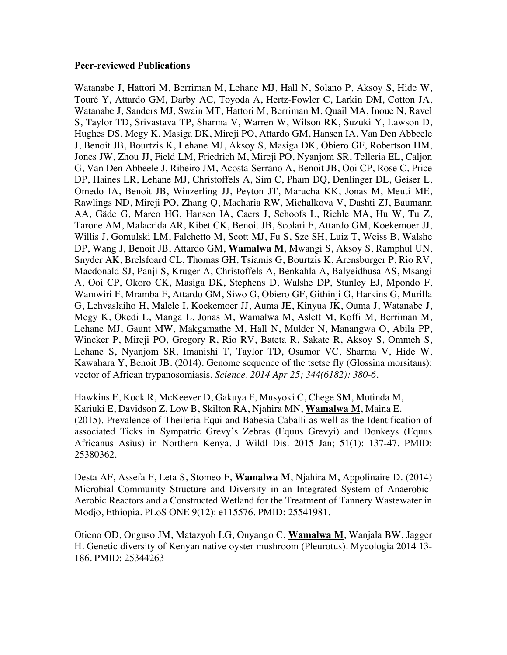#### **Peer-reviewed Publications**

Watanabe J, Hattori M, Berriman M, Lehane MJ, Hall N, Solano P, Aksoy S, Hide W, Touré Y, Attardo GM, Darby AC, Toyoda A, Hertz-Fowler C, Larkin DM, Cotton JA, Watanabe J, Sanders MJ, Swain MT, Hattori M, Berriman M, Quail MA, Inoue N, Ravel S, Taylor TD, Srivastava TP, Sharma V, Warren W, Wilson RK, Suzuki Y, Lawson D, Hughes DS, Megy K, Masiga DK, Mireji PO, Attardo GM, Hansen IA, Van Den Abbeele J, Benoit JB, Bourtzis K, Lehane MJ, Aksoy S, Masiga DK, Obiero GF, Robertson HM, Jones JW, Zhou JJ, Field LM, Friedrich M, Mireji PO, Nyanjom SR, Telleria EL, Caljon G, Van Den Abbeele J, Ribeiro JM, Acosta-Serrano A, Benoit JB, Ooi CP, Rose C, Price DP, Haines LR, Lehane MJ, Christoffels A, Sim C, Pham DQ, Denlinger DL, Geiser L, Omedo IA, Benoit JB, Winzerling JJ, Peyton JT, Marucha KK, Jonas M, Meuti ME, Rawlings ND, Mireji PO, Zhang Q, Macharia RW, Michalkova V, Dashti ZJ, Baumann AA, Gäde G, Marco HG, Hansen IA, Caers J, Schoofs L, Riehle MA, Hu W, Tu Z, Tarone AM, Malacrida AR, Kibet CK, Benoit JB, Scolari F, Attardo GM, Koekemoer JJ, Willis J, Gomulski LM, Falchetto M, Scott MJ, Fu S, Sze SH, Luiz T, Weiss B, Walshe DP, Wang J, Benoit JB, Attardo GM, **Wamalwa M**, Mwangi S, Aksoy S, Ramphul UN, Snyder AK, Brelsfoard CL, Thomas GH, Tsiamis G, Bourtzis K, Arensburger P, Rio RV, Macdonald SJ, Panji S, Kruger A, Christoffels A, Benkahla A, Balyeidhusa AS, Msangi A, Ooi CP, Okoro CK, Masiga DK, Stephens D, Walshe DP, Stanley EJ, Mpondo F, Wamwiri F, Mramba F, Attardo GM, Siwo G, Obiero GF, Githinji G, Harkins G, Murilla G, Lehväslaiho H, Malele I, Koekemoer JJ, Auma JE, Kinyua JK, Ouma J, Watanabe J, Megy K, Okedi L, Manga L, Jonas M, Wamalwa M, Aslett M, Koffi M, Berriman M, Lehane MJ, Gaunt MW, Makgamathe M, Hall N, Mulder N, Manangwa O, Abila PP, Wincker P, Mireji PO, Gregory R, Rio RV, Bateta R, Sakate R, Aksoy S, Ommeh S, Lehane S, Nyanjom SR, Imanishi T, Taylor TD, Osamor VC, Sharma V, Hide W, Kawahara Y, Benoit JB. (2014). Genome sequence of the tsetse fly (Glossina morsitans): vector of African trypanosomiasis. *Science. 2014 Apr 25; 344(6182): 380-6.*

Hawkins E, Kock R, McKeever D, Gakuya F, Musyoki C, Chege SM, Mutinda M, Kariuki E, Davidson Z, Low B, Skilton RA, Njahira MN, **Wamalwa M**, Maina E. (2015). Prevalence of Theileria Equi and Babesia Caballi as well as the Identification of associated Ticks in Sympatric Grevy's Zebras (Equus Grevyi) and Donkeys (Equus Africanus Asius) in Northern Kenya. J Wildl Dis. 2015 Jan; 51(1): 137-47. PMID: 25380362.

Desta AF, Assefa F, Leta S, Stomeo F, **Wamalwa M**, Njahira M, Appolinaire D. (2014) Microbial Community Structure and Diversity in an Integrated System of Anaerobic-Aerobic Reactors and a Constructed Wetland for the Treatment of Tannery Wastewater in Modjo, Ethiopia. PLoS ONE 9(12): e115576. PMID: 25541981.

Otieno OD, Onguso JM, Matazyoh LG, Onyango C, **Wamalwa M**, Wanjala BW, Jagger H. Genetic diversity of Kenyan native oyster mushroom (Pleurotus). Mycologia 2014 13- 186. PMID: 25344263